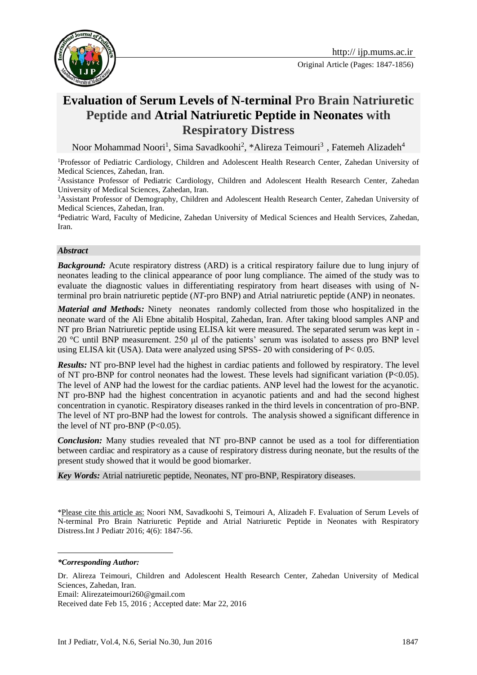

Original Article (Pages: 1847-1856)

# **Evaluation of Serum Levels of N-terminal Pro Brain Natriuretic Peptide and Atrial Natriuretic Peptide in Neonates with Respiratory Distress**

Noor Mohammad Noori<sup>1</sup>, Sima Savadkoohi<sup>2</sup>, \*Alireza Teimouri<sup>3</sup>, Fatemeh Alizadeh<sup>4</sup>

<sup>1</sup>Professor of Pediatric Cardiology, Children and Adolescent Health Research Center, Zahedan University of Medical Sciences, Zahedan, Iran.

<sup>2</sup>Assistance Professor of Pediatric Cardiology, Children and Adolescent Health Research Center, Zahedan University of Medical Sciences, Zahedan, Iran.

<sup>3</sup>Assistant Professor of Demography, Children and Adolescent Health Research Center, Zahedan University of Medical Sciences, Zahedan, Iran.

<sup>4</sup>Pediatric Ward, Faculty of Medicine, Zahedan University of Medical Sciences and Health Services, Zahedan, Iran.

#### *Abstract*

*Background:* Acute respiratory distress (ARD) is a critical respiratory failure due to lung injury of neonates leading to the clinical appearance of poor lung compliance. The aimed of the study was to evaluate the diagnostic values in differentiating respiratory from heart diseases with using of Nterminal pro brain natriuretic peptide (*NT*-pro BNP) and Atrial natriuretic peptide (ANP) in neonates.

*Material and Methods:* Ninety neonates randomly collected from those who hospitalized in the neonate ward of the Ali Ebne abitalib Hospital, Zahedan, Iran. After taking blood samples ANP and NT pro Brian Natriuretic peptide using ELISA kit were measured. The separated serum was kept in - 20 °C until BNP measurement. 250 μl of the patients' serum was isolated to assess pro BNP level using ELISA kit (USA). Data were analyzed using SPSS- 20 with considering of  $P < 0.05$ .

*Results:* NT pro-BNP level had the highest in cardiac patients and followed by respiratory. The level of NT pro-BNP for control neonates had the lowest. These levels had significant variation (P<0.05). The level of ANP had the lowest for the cardiac patients. ANP level had the lowest for the acyanotic. NT pro-BNP had the highest concentration in acyanotic patients and and had the second highest concentration in cyanotic. Respiratory diseases ranked in the third levels in concentration of pro-BNP. The level of NT pro-BNP had the lowest for controls. The analysis showed a significant difference in the level of NT pro-BNP  $(P<0.05)$ .

*Conclusion:* Many studies revealed that NT pro-BNP cannot be used as a tool for differentiation between cardiac and respiratory as a cause of respiratory distress during neonate, but the results of the present study showed that it would be good biomarker.

*Key Words:* Atrial natriuretic peptide, Neonates, NT pro-BNP, Respiratory diseases.

\*Please cite this article as: Noori NM, Savadkoohi S, Teimouri A, Alizadeh F. Evaluation of Serum Levels of N-terminal Pro Brain Natriuretic Peptide and Atrial Natriuretic Peptide in Neonates with Respiratory Distress.Int J Pediatr 2016; 4(6): 1847-56.

*\*Corresponding Author:*

<u>.</u>

Email: [Alirezateimouri260@gmail.com](mailto:Alirezateimouri260@gmail.com)

Received date Feb 15, 2016 ; Accepted date: Mar 22, 2016

Dr. Alireza Teimouri, Children and Adolescent Health Research Center, Zahedan University of Medical Sciences, Zahedan, Iran.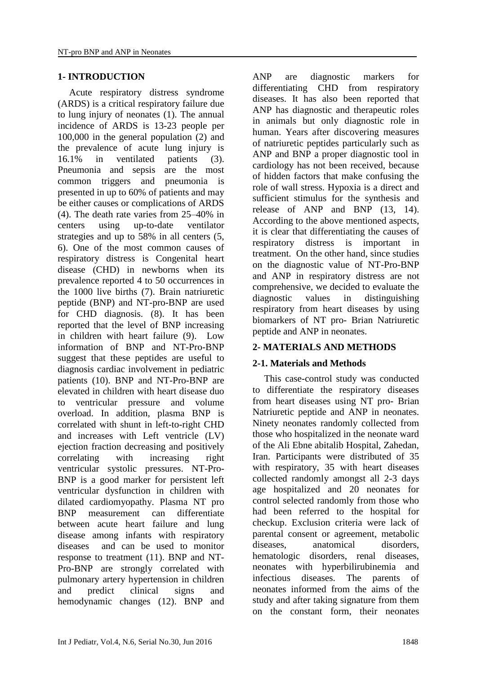## **1- INTRODUCTION**

Acute respiratory distress syndrome (ARDS) is a critical respiratory failure due to lung injury of neonates (1). The annual incidence of ARDS is 13-23 people per 100,000 in the general population (2) and the prevalence of acute lung injury is 16.1% in ventilated patients (3). Pneumonia and sepsis are the most common triggers and pneumonia is presented in up to 60% of patients and may be either causes or complications of ARDS (4). The death rate varies from 25–40% in centers using up-to-date ventilator strategies and up to 58% in all centers (5, 6). One of the most common causes of respiratory distress is Congenital heart disease (CHD) in newborns when its prevalence reported 4 to 50 occurrences in the 1000 live births (7). Brain natriuretic peptide (BNP) and NT-pro-BNP are used for CHD diagnosis. (8). It has been reported that the level of BNP increasing in children with heart failure (9). Low information of BNP and NT-Pro-BNP suggest that these peptides are useful to diagnosis cardiac involvement in pediatric patients (10). BNP and NT-Pro-BNP are elevated in children with heart disease duo to ventricular pressure and volume overload. In addition, plasma BNP is correlated with shunt in left-to-right CHD and increases with Left ventricle (LV) ejection fraction decreasing and positively correlating with increasing right ventricular systolic pressures. NT-Pro-BNP is a good marker for persistent left ventricular dysfunction in children with dilated cardiomyopathy. Plasma NT pro BNP measurement can differentiate between acute heart failure and lung disease among infants with respiratory diseases and can be used to monitor response to treatment (11). BNP and NT-Pro-BNP are strongly correlated with pulmonary artery hypertension in children and predict clinical signs and hemodynamic changes (12). BNP and

ANP are diagnostic markers for differentiating CHD from respiratory diseases. It has also been reported that ANP has diagnostic and therapeutic roles in animals but only diagnostic role in human. Years after discovering measures of natriuretic peptides particularly such as ANP and BNP a proper diagnostic tool in cardiology has not been received, because of hidden factors that make confusing the role of wall stress. Hypoxia is a direct and sufficient stimulus for the synthesis and release of ANP and BNP (13, 14). According to the above mentioned aspects, it is clear that differentiating the causes of respiratory distress is important in treatment. On the other hand, since studies on the diagnostic value of NT-Pro-BNP and ANP in respiratory distress are not comprehensive, we decided to evaluate the diagnostic values in distinguishing respiratory from heart diseases by using biomarkers of NT pro- Brian Natriuretic peptide and ANP in neonates.

## **2- MATERIALS AND METHODS**

## **2-1. Materials and Methods**

This case-control study was conducted to differentiate the respiratory diseases from heart diseases using NT pro- Brian Natriuretic peptide and ANP in neonates. Ninety neonates randomly collected from those who hospitalized in the neonate ward of the Ali Ebne abitalib Hospital, Zahedan, Iran. Participants were distributed of 35 with respiratory, 35 with heart diseases collected randomly amongst all 2-3 days age hospitalized and 20 neonates for control selected randomly from those who had been referred to the hospital for checkup. Exclusion criteria were lack of parental consent or agreement, metabolic diseases, anatomical disorders, hematologic disorders, renal diseases, neonates with hyperbilirubinemia and infectious diseases. The parents of neonates informed from the aims of the study and after taking signature from them on the constant form, their neonates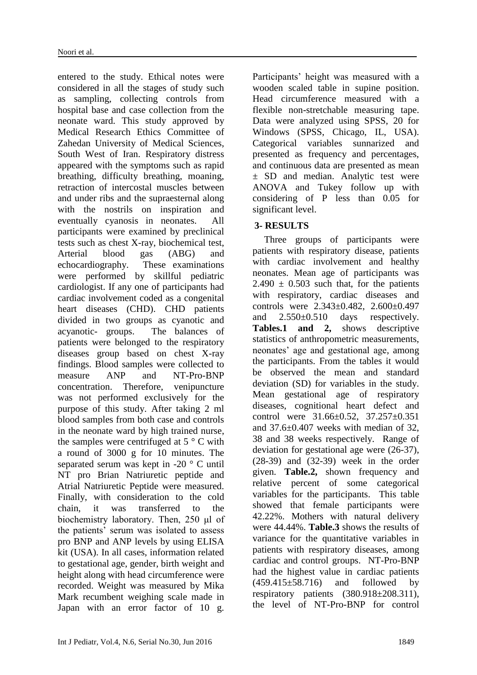entered to the study. Ethical notes were considered in all the stages of study such as sampling, collecting controls from hospital base and case collection from the neonate ward. This study approved by Medical Research Ethics Committee of Zahedan University of Medical Sciences, South West of Iran. Respiratory distress appeared with the symptoms such as rapid breathing, difficulty breathing, moaning, retraction of intercostal muscles between and under ribs and the supraesternal along with the nostrils on inspiration and eventually cyanosis in neonates. All participants were examined by preclinical tests such as chest X-ray, biochemical test, Arterial blood gas (ABG) and echocardiography. These examinations were performed by skillful pediatric cardiologist. If any one of participants had cardiac involvement coded as a congenital heart diseases (CHD). CHD patients divided in two groups as cyanotic and acyanotic- groups. The balances of patients were belonged to the respiratory diseases group based on chest X-ray findings. Blood samples were collected to measure ANP and NT-Pro-BNP concentration. Therefore, venipuncture was not performed exclusively for the purpose of this study. After taking 2 ml blood samples from both case and controls in the neonate ward by high trained nurse, the samples were centrifuged at  $5^{\circ}$  C with a round of 3000 g for 10 minutes. The separated serum was kept in -20 ° C until NT pro Brian Natriuretic peptide and Atrial Natriuretic Peptide were measured. Finally, with consideration to the cold chain, it was transferred to the biochemistry laboratory. Then, 250 μl of the patients' serum was isolated to assess pro BNP and ANP levels by using ELISA kit (USA). In all cases, information related to gestational age, gender, birth weight and height along with head circumference were recorded. Weight was measured by Mika Mark recumbent weighing scale made in Japan with an error factor of 10 g. Participants' height was measured with a wooden scaled table in supine position. Head circumference measured with a flexible non-stretchable measuring tape. Data were analyzed using SPSS, 20 for Windows (SPSS, Chicago, IL, USA). Categorical variables sunnarized and presented as frequency and percentages, and continuous data are presented as mean ± SD and median. Analytic test were ANOVA and Tukey follow up with considering of P less than 0.05 for significant level.

# **3- RESULTS**

Three groups of participants were patients with respiratory disease, patients with cardiac involvement and healthy neonates. Mean age of participants was  $2.490 \pm 0.503$  such that, for the patients with respiratory, cardiac diseases and controls were 2.343±0.482, 2.600±0.497 and 2.550±0.510 days respectively. **Tables.1 and 2,** shows descriptive statistics of anthropometric measurements, neonates' age and gestational age, among the participants. From the tables it would be observed the mean and standard deviation (SD) for variables in the study. Mean gestational age of respiratory diseases, cognitional heart defect and control were 31.66±0.52, 37.257±0.351 and 37.6±0.407 weeks with median of 32, 38 and 38 weeks respectively. Range of deviation for gestational age were (26-37), (28-39) and (32-39) week in the order given. **Table.2,** shown frequency and relative percent of some categorical variables for the participants. This table showed that female participants were 42.22%. Mothers with natural delivery were 44.44%. **Table.3** shows the results of variance for the quantitative variables in patients with respiratory diseases, among cardiac and control groups. NT-Pro-BNP had the highest value in cardiac patients (459.415±58.716) and followed by respiratory patients (380.918±208.311), the level of NT-Pro-BNP for control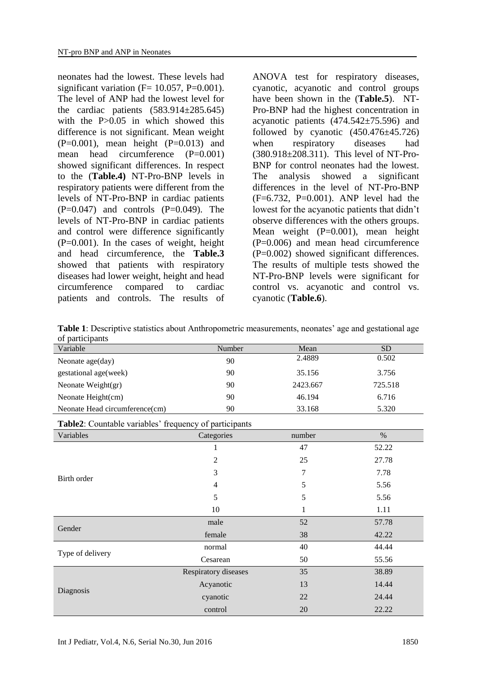neonates had the lowest. These levels had significant variation  $(F= 10.057, P=0.001)$ . The level of ANP had the lowest level for the cardiac patients  $(583.914 \pm 285.645)$ with the P>0.05 in which showed this difference is not significant. Mean weight  $(P=0.001)$ , mean height  $(P=0.013)$  and mean head circumference (P=0.001) showed significant differences. In respect to the (**Table.4)** NT-Pro-BNP levels in respiratory patients were different from the levels of NT-Pro-BNP in cardiac patients  $(P=0.047)$  and controls  $(P=0.049)$ . The levels of NT-Pro-BNP in cardiac patients and control were difference significantly  $(P=0.001)$ . In the cases of weight, height and head circumference, the **Table.3** showed that patients with respiratory diseases had lower weight, height and head circumference compared to cardiac patients and controls. The results of

ANOVA test for respiratory diseases, cyanotic, acyanotic and control groups have been shown in the (**Table.5**). NT-Pro-BNP had the highest concentration in acyanotic patients  $(474.542 \pm 75.596)$  and followed by cyanotic  $(450.476 \pm 45.726)$ when respiratory diseases had (380.918±208.311). This level of NT-Pro-BNP for control neonates had the lowest. The analysis showed a significant differences in the level of NT-Pro-BNP  $(F=6.732, P=0.001)$ . ANP level had the lowest for the acyanotic patients that didn't observe differences with the others groups. Mean weight (P=0.001), mean height (P=0.006) and mean head circumference (P=0.002) showed significant differences. The results of multiple tests showed the NT-Pro-BNP levels were significant for control vs. acyanotic and control vs. cyanotic (**Table.6**).

| ie 1. Descriptive statistics about 1 man opometre measurements, neonates age and gestational age<br>of participants |                      |          |           |  |  |  |  |
|---------------------------------------------------------------------------------------------------------------------|----------------------|----------|-----------|--|--|--|--|
| Variable                                                                                                            | Number               | Mean     | <b>SD</b> |  |  |  |  |
| Neonate age(day)                                                                                                    | 90                   | 2.4889   | 0.502     |  |  |  |  |
| gestational age(week)                                                                                               | 90                   | 35.156   | 3.756     |  |  |  |  |
| Neonate Weight(gr)                                                                                                  | 90                   | 2423.667 | 725.518   |  |  |  |  |
| Neonate Height(cm)                                                                                                  | 90                   | 46.194   | 6.716     |  |  |  |  |
| Neonate Head circumference(cm)                                                                                      | 90                   | 33.168   | 5.320     |  |  |  |  |
| Table2: Countable variables' frequency of participants                                                              |                      |          |           |  |  |  |  |
| Variables                                                                                                           | Categories           | number   | $\%$      |  |  |  |  |
|                                                                                                                     | 1                    | 47       | 52.22     |  |  |  |  |
|                                                                                                                     | $\overline{c}$       | 25       | 27.78     |  |  |  |  |
|                                                                                                                     | 3                    | 7        | 7.78      |  |  |  |  |
| Birth order                                                                                                         | 4                    | 5        | 5.56      |  |  |  |  |
|                                                                                                                     | 5                    | 5        | 5.56      |  |  |  |  |
|                                                                                                                     | 10                   | 1        | 1.11      |  |  |  |  |
| Gender                                                                                                              | male                 | 52       | 57.78     |  |  |  |  |
|                                                                                                                     | female               | 38       | 42.22     |  |  |  |  |
|                                                                                                                     | normal               | 40       | 44.44     |  |  |  |  |
| Type of delivery                                                                                                    | Cesarean             | 50       | 55.56     |  |  |  |  |
|                                                                                                                     | Respiratory diseases | 35       | 38.89     |  |  |  |  |
|                                                                                                                     | Acyanotic            | 13       | 14.44     |  |  |  |  |
| Diagnosis                                                                                                           | cyanotic             | 22       | 24.44     |  |  |  |  |
|                                                                                                                     | control              | 20       | 22.22     |  |  |  |  |

**Table 1:** Descriptive statistics about Anthropometric measurements, neonates' age and gestational age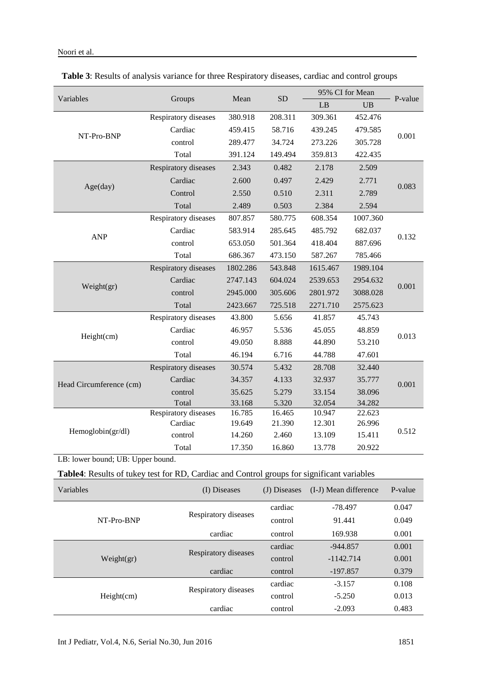#### Noori et al.

|                                                                                            |                      | Mean             | <b>SD</b>       | 95% CI for Mean       |                  |         |
|--------------------------------------------------------------------------------------------|----------------------|------------------|-----------------|-----------------------|------------------|---------|
| Variables                                                                                  | Groups               |                  |                 | LB                    | <b>UB</b>        | P-value |
|                                                                                            | Respiratory diseases | 380.918          | 208.311         | 309.361               | 452.476          |         |
|                                                                                            | Cardiac              | 459.415          | 58.716          | 439.245               | 479.585          | 0.001   |
| NT-Pro-BNP                                                                                 | control              | 289.477          | 34.724          | 273.226               | 305.728          |         |
|                                                                                            | Total                | 391.124          | 149.494         | 359.813               | 422.435          |         |
|                                                                                            | Respiratory diseases | 2.343            | 0.482           | 2.178                 | 2.509            |         |
|                                                                                            | Cardiac              | 2.600            | 0.497           | 2.429                 | 2.771            |         |
| Age(day)                                                                                   | Control              | 2.550            | 0.510           | 2.311                 | 2.789            | 0.083   |
|                                                                                            | Total                | 2.489            | 0.503           | 2.384                 | 2.594            |         |
|                                                                                            | Respiratory diseases | 807.857          | 580.775         | 608.354               | 1007.360         |         |
|                                                                                            | Cardiac              | 583.914          | 285.645         | 485.792               | 682.037          |         |
| <b>ANP</b>                                                                                 | control              | 653.050          | 501.364         | 418.404               | 887.696          | 0.132   |
|                                                                                            | Total                | 686.367          | 473.150         | 587.267               | 785.466          |         |
|                                                                                            | Respiratory diseases | 1802.286         | 543.848         | 1615.467              | 1989.104         |         |
|                                                                                            | Cardiac              | 2747.143         | 604.024         | 2539.653              | 2954.632         |         |
| Weight(gr)                                                                                 | control              | 2945.000         | 305.606         | 2801.972              | 3088.028         | 0.001   |
|                                                                                            | Total                | 2423.667         | 725.518         | 2271.710              | 2575.623         |         |
|                                                                                            | Respiratory diseases | 43.800           | 5.656           | 41.857                | 45.743           | 0.013   |
|                                                                                            | Cardiac              | 46.957           | 5.536           | 45.055                | 48.859           |         |
| Height(cm)                                                                                 | control              | 49.050           | 8.888           | 44.890                | 53.210           |         |
|                                                                                            | Total                | 46.194           | 6.716           | 44.788                | 47.601           |         |
|                                                                                            | Respiratory diseases | 30.574           | 5.432           | 28.708                | 32.440           |         |
| Head Circumference (cm)                                                                    | Cardiac              | 34.357           | 4.133           | 32.937                | 35.777           | 0.001   |
|                                                                                            | control              | 35.625           | 5.279           | 33.154                | 38.096           |         |
|                                                                                            | Total                | 33.168           | 5.320           | 32.054                | 34.282           |         |
|                                                                                            | Respiratory diseases | 16.785           | 16.465          | 10.947                | 22.623           |         |
| Hemoglobin(gr/dl)                                                                          | Cardiac              | 19.649<br>14.260 | 21.390<br>2.460 | 12.301<br>13.109      | 26.996<br>15.411 | 0.512   |
|                                                                                            | control              |                  |                 |                       |                  |         |
|                                                                                            | Total                | 17.350           | 16.860          | 13.778                | 20.922           |         |
| LB: lower bound; UB: Upper bound.                                                          |                      |                  |                 |                       |                  |         |
| Table4: Results of tukey test for RD, Cardiac and Control groups for significant variables |                      |                  |                 |                       |                  |         |
| Variables                                                                                  |                      | (I) Diseases     | (J) Diseases    | (I-J) Mean difference |                  | P-value |
|                                                                                            | Respiratory diseases |                  | cardiac         | $-78.497$             |                  | 0.047   |
| NT-Pro-BNP                                                                                 |                      |                  | control         | 91.441                |                  | 0.049   |
|                                                                                            | cardiac              |                  | control         | 169.938               |                  | 0.001   |
|                                                                                            |                      |                  | cardiac         | $-944.857$            |                  | 0.001   |
| $Weioht(\sigma r)$                                                                         | Respiratory diseases |                  | control         | $-1142714$            |                  | 0.001   |

**Table 3**: Results of analysis variance for three Respiratory diseases, cardiac and control groups

| Variables  | (I) Diseases         | (J) Diseases | (I-J) Mean difference | P-value |
|------------|----------------------|--------------|-----------------------|---------|
|            |                      | cardiac      | $-78.497$             | 0.047   |
| NT-Pro-BNP | Respiratory diseases | control      | 91.441                | 0.049   |
|            | cardiac              | control      | 169.938               | 0.001   |
|            | Respiratory diseases | cardiac      | $-944.857$            | 0.001   |
| Weight(gr) |                      | control      | $-1142.714$           | 0.001   |
|            | cardiac              | control      | $-197.857$            | 0.379   |
|            | Respiratory diseases | cardiac      | $-3.157$              | 0.108   |
| Height(cm) |                      | control      | $-5.250$              | 0.013   |
|            | cardiac              | control      | $-2.093$              | 0.483   |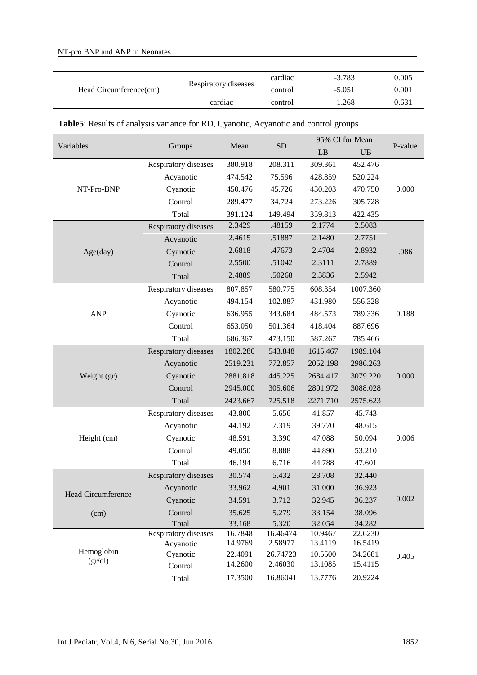| Head Circumference(cm) | Respiratory diseases | cardiac | $-3.783$ | 0.005 |
|------------------------|----------------------|---------|----------|-------|
|                        |                      | control | $-5.051$ | 0.001 |
|                        | cardiac              | control | $-1.268$ | 0.631 |

## **Table5**: Results of analysis variance for RD, Cyanotic, Acyanotic and control groups

| Variables          | Groups                | Mean               | <b>SD</b>           | 95% CI for Mean    |                    | P-value |
|--------------------|-----------------------|--------------------|---------------------|--------------------|--------------------|---------|
|                    |                       |                    |                     | LB                 | <b>UB</b>          |         |
|                    | Respiratory diseases  | 380.918            | 208.311             | 309.361            | 452.476            |         |
|                    | Acyanotic             | 474.542            | 75.596              | 428.859            | 520.224            |         |
| NT-Pro-BNP         | Cyanotic              | 450.476            | 45.726              | 430.203            | 470.750            | 0.000   |
|                    | Control               | 289.477            | 34.724              | 273.226            | 305.728            |         |
|                    | Total                 | 391.124            | 149.494             | 359.813            | 422.435            |         |
|                    | Respiratory diseases  | 2.3429             | .48159              | 2.1774             | 2.5083             |         |
|                    | Acyanotic             | 2.4615             | .51887              | 2.1480             | 2.7751             |         |
| Age(day)           | Cyanotic              | 2.6818             | .47673              | 2.4704             | 2.8932             | .086    |
|                    | Control               | 2.5500             | .51042              | 2.3111             | 2.7889             |         |
|                    | Total                 | 2.4889             | .50268              | 2.3836             | 2.5942             |         |
|                    | Respiratory diseases  | 807.857            | 580.775             | 608.354            | 1007.360           |         |
|                    | Acyanotic             | 494.154            | 102.887             | 431.980            | 556.328            |         |
| <b>ANP</b>         | Cyanotic              | 636.955            | 343.684             | 484.573            | 789.336            | 0.188   |
|                    | Control               | 653.050            | 501.364             | 418.404            | 887.696            |         |
|                    | Total                 | 686.367            | 473.150             | 587.267            | 785.466            |         |
|                    | Respiratory diseases  | 1802.286           | 543.848             | 1615.467           | 1989.104           |         |
|                    | Acyanotic             | 2519.231           | 772.857             | 2052.198           | 2986.263           |         |
| Weight (gr)        | Cyanotic              | 2881.818           | 445.225             | 2684.417           | 3079.220           | 0.000   |
|                    | Control               | 2945.000           | 305.606             | 2801.972           | 3088.028           |         |
|                    | Total                 | 2423.667           | 725.518             | 2271.710           | 2575.623           |         |
|                    | Respiratory diseases  | 43.800             | 5.656               | 41.857             | 45.743             |         |
|                    | Acyanotic             | 44.192             | 7.319               | 39.770             | 48.615             |         |
| Height (cm)        | Cyanotic              | 48.591             | 3.390               | 47.088             | 50.094             | 0.006   |
|                    | Control               | 49.050             | 8.888               | 44.890             | 53.210             |         |
|                    | Total                 | 46.194             | 6.716               | 44.788             | 47.601             |         |
|                    | Respiratory diseases  | 30.574             | 5.432               | 28.708             | 32.440             |         |
|                    | Acyanotic             | 33.962             | 4.901               | 31.000             | 36.923             |         |
| Head Circumference | Cyanotic              | 34.591             | 3.712               | 32.945             | 36.237             | 0.002   |
| (cm)               | Control               | 35.625             | 5.279               | 33.154             | 38.096             |         |
|                    | Total                 | 33.168             | 5.320               | 32.054             | 34.282             |         |
|                    | Respiratory diseases  | 16.7848            | 16.46474            | 10.9467            | 22.6230            |         |
| Hemoglobin         | Acyanotic<br>Cyanotic | 14.9769<br>22.4091 | 2.58977<br>26.74723 | 13.4119<br>10.5500 | 16.5419<br>34.2681 |         |
| gr/dl)             | Control               | 14.2600            | 2.46030             | 13.1085            | 15.4115            | 0.405   |
|                    | Total                 | 17.3500            | 16.86041            | 13.7776            | 20.9224            |         |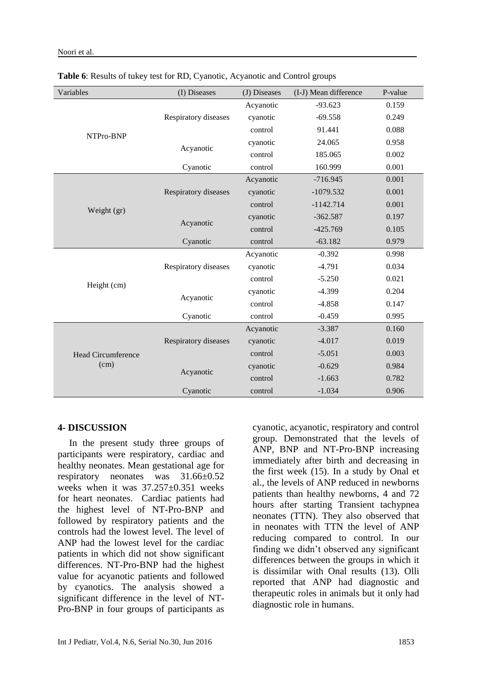| Variables                 | (I) Diseases         | (J) Diseases | (I-J) Mean difference | P-value |
|---------------------------|----------------------|--------------|-----------------------|---------|
|                           |                      | Acyanotic    | $-93.623$             | 0.159   |
|                           | Respiratory diseases | cyanotic     | $-69.558$             | 0.249   |
| NTPro-BNP                 |                      | control      | 91.441                | 0.088   |
|                           |                      | cyanotic     | 24.065                | 0.958   |
|                           | Acyanotic            | control      | 185.065               | 0.002   |
|                           | Cyanotic             | control      | 160.999               | 0.001   |
|                           |                      | Acyanotic    | $-716.945$            | 0.001   |
|                           | Respiratory diseases | cyanotic     | $-1079.532$           | 0.001   |
| Weight (gr)               |                      | control      | $-1142.714$           | 0.001   |
|                           | Acyanotic            | cyanotic     | $-362.587$            | 0.197   |
|                           |                      | control      | $-425.769$            | 0.105   |
|                           | Cyanotic             | control      | $-63.182$             | 0.979   |
|                           |                      | Acyanotic    | $-0.392$              | 0.998   |
|                           | Respiratory diseases | cyanotic     | $-4.791$              | 0.034   |
|                           |                      | control      | $-5.250$              | 0.021   |
| Height (cm)               | Acyanotic            | cyanotic     | $-4.399$              | 0.204   |
|                           |                      | control      | $-4.858$              | 0.147   |
|                           | Cyanotic             | control      | $-0.459$              | 0.995   |
|                           |                      | Acyanotic    | $-3.387$              | 0.160   |
|                           | Respiratory diseases | cyanotic     | $-4.017$              | 0.019   |
| <b>Head Circumference</b> |                      | control      | $-5.051$              | 0.003   |
| (cm)                      | Acyanotic            | cyanotic     | $-0.629$              | 0.984   |
|                           |                      | control      | $-1.663$              | 0.782   |
|                           | Cyanotic             | control      | $-1.034$              | 0.906   |

**Table 6**: Results of tukey test for RD, Cyanotic, Acyanotic and Control groups

### **4- DISCUSSION**

In the present study three groups of participants were respiratory, cardiac and healthy neonates. Mean gestational age for respiratory neonates was 31.66±0.52 weeks when it was  $37.257+0.351$  weeks for heart neonates. Cardiac patients had the highest level of NT-Pro-BNP and followed by respiratory patients and the controls had the lowest level. The level of ANP had the lowest level for the cardiac patients in which did not show significant differences. NT-Pro-BNP had the highest value for acyanotic patients and followed by cyanotics. The analysis showed a significant difference in the level of NT-Pro-BNP in four groups of participants as cyanotic, acyanotic, respiratory and control group. Demonstrated that the levels of ANP, BNP and NT-Pro-BNP increasing immediately after birth and decreasing in the first week (15). In a study by Onal et al., the levels of ANP reduced in newborns patients than healthy newborns, 4 and 72 hours after starting Transient tachypnea neonates (TTN). They also observed that in neonates with TTN the level of ANP reducing compared to control. In our finding we didn't observed any significant differences between the groups in which it is dissimilar with Onal results (13). Olli reported that ANP had diagnostic and therapeutic roles in animals but it only had diagnostic role in humans.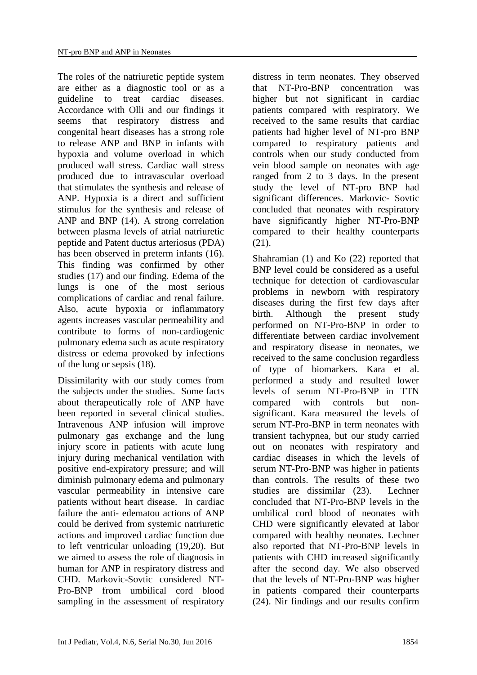The roles of the natriuretic peptide system are either as a diagnostic tool or as a guideline to treat cardiac diseases. Accordance with Olli and our findings it seems that respiratory distress and congenital heart diseases has a strong role to release ANP and BNP in infants with hypoxia and volume overload in which produced wall stress. Cardiac wall stress produced due to intravascular overload that stimulates the synthesis and release of ANP. Hypoxia is a direct and sufficient stimulus for the synthesis and release of ANP and BNP (14). A strong correlation between plasma levels of atrial natriuretic peptide and Patent ductus arteriosus (PDA) has been observed in preterm infants (16). This finding was confirmed by other studies (17) and our finding. Edema of the lungs is one of the most serious complications of cardiac and renal failure. Also, acute hypoxia or inflammatory agents increases vascular permeability and contribute to forms of non-cardiogenic pulmonary edema such as acute respiratory distress or edema provoked by infections of the lung or sepsis (18).

Dissimilarity with our study comes from the subjects under the studies. Some facts about therapeutically role of ANP have been reported in several clinical studies. Intravenous ANP infusion will improve pulmonary gas exchange and the lung injury score in patients with acute lung injury during mechanical ventilation with positive end-expiratory pressure; and will diminish pulmonary edema and pulmonary vascular permeability in intensive care patients without heart disease. In cardiac failure the anti- edematou actions of ANP could be derived from systemic natriuretic actions and improved cardiac function due to left ventricular unloading (19,20). But we aimed to assess the role of diagnosis in human for ANP in respiratory distress and CHD. Markovic-Sovtic considered NT-Pro-BNP from umbilical cord blood sampling in the assessment of respiratory

distress in term neonates. They observed that NT-Pro-BNP concentration was higher but not significant in cardiac patients compared with respiratory. We received to the same results that cardiac patients had higher level of NT-pro BNP compared to respiratory patients and controls when our study conducted from vein blood sample on neonates with age ranged from 2 to 3 days. In the present study the level of NT-pro BNP had significant differences. Markovic- Sovtic concluded that neonates with respiratory have significantly higher NT-Pro-BNP compared to their healthy counterparts (21).

Shahramian (1) and Ko (22) reported that BNP level could be considered as a useful technique for detection of cardiovascular problems in newborn with respiratory diseases during the first few days after birth. Although the present study performed on NT-Pro-BNP in order to differentiate between cardiac involvement and respiratory disease in neonates, we received to the same conclusion regardless of type of biomarkers. Kara et al. performed a study and resulted lower levels of serum NT-Pro-BNP in TTN compared with controls but nonsignificant. Kara measured the levels of serum NT-Pro-BNP in term neonates with transient tachypnea, but our study carried out on neonates with respiratory and cardiac diseases in which the levels of serum NT-Pro-BNP was higher in patients than controls. The results of these two studies are dissimilar (23). Lechner concluded that NT-Pro-BNP levels in the umbilical cord blood of neonates with CHD were significantly elevated at labor compared with healthy neonates. Lechner also reported that NT-Pro-BNP levels in patients with CHD increased significantly after the second day. We also observed that the levels of NT-Pro-BNP was higher in patients compared their counterparts (24). Nir findings and our results confirm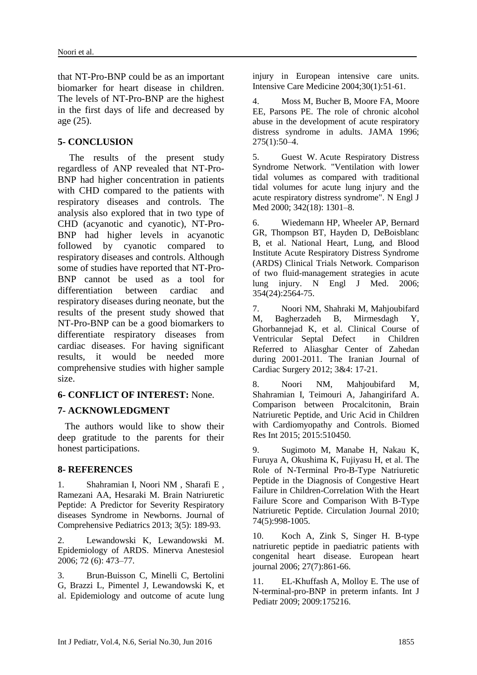that NT-Pro-BNP could be as an important biomarker for heart disease in children. The levels of NT-Pro-BNP are the highest in the first days of life and decreased by age (25).

## **5- CONCLUSION**

The results of the present study regardless of ANP revealed that NT-Pro-BNP had higher concentration in patients with CHD compared to the patients with respiratory diseases and controls. The analysis also explored that in two type of CHD (acyanotic and cyanotic), NT-Pro-BNP had higher levels in acyanotic followed by cyanotic compared to respiratory diseases and controls. Although some of studies have reported that NT-Pro-BNP cannot be used as a tool for differentiation between cardiac and respiratory diseases during neonate, but the results of the present study showed that NT-Pro-BNP can be a good biomarkers to differentiate respiratory diseases from cardiac diseases. For having significant results, it would be needed more comprehensive studies with higher sample size.

### **6- CONFLICT OF INTEREST:** None.

### **7- ACKNOWLEDGMENT**

 The authors would like to show their deep gratitude to the parents for their honest participations.

### **8- REFERENCES**

1. Shahramian I, Noori NM , Sharafi E , Ramezani AA, Hesaraki M. Brain Natriuretic Peptide: A Predictor for Severity Respiratory diseases Syndrome in Newborns. Journal of Comprehensive Pediatrics 2013; 3(5): 189-93.

2. [Lewandowski K, Lewandowski M.](https://en.wikipedia.org/wiki/Acute_respiratory_distress_syndrome#cite_note-19)  [Epidemiology of ARDS. Minerva Anestesiol](https://en.wikipedia.org/wiki/Acute_respiratory_distress_syndrome#cite_note-19)  [2006; 72 \(6\): 473–77.](https://en.wikipedia.org/wiki/Acute_respiratory_distress_syndrome#cite_note-19) 

3. Brun-Buisson C, Minelli C, Bertolini G, Brazzi L, Pimentel J, Lewandowski K, et al. Epidemiology and outcome of acute lung

injury in European intensive care units. Intensive Care Medicine 2004;30(1):51-61.

4. Moss M, Bucher B, Moore FA, Moore EE, Parsons PE. The role of chronic alcohol abuse in the development of acute respiratory distress syndrome in adults. JAMA 1996; 275(1):50–4.

5. Guest W. Acute Respiratory Distress Syndrome Network. "Ventilation with lower tidal volumes as compared with traditional tidal volumes for acute lung injury and the acute respiratory distress syndrome". N Engl J Med 2000; 342(18): 1301–8.

6. Wiedemann HP, Wheeler AP, Bernard GR, Thompson BT, Hayden D, DeBoisblanc B, et al. National Heart, Lung, and Blood Institute Acute Respiratory Distress Syndrome (ARDS) Clinical Trials Network. Comparison of two fluid-management strategies in acute lung injury. N Engl J Med. 2006; 354(24):2564-75.

7. Noori NM, Shahraki M, Mahjoubifard M, Bagherzadeh B, Mirmesdagh Y, Ghorbannejad K, et al. Clinical Course of Ventricular Septal Defect in Children Referred to Aliasghar Center of Zahedan during 2001-2011. The Iranian Journal of Cardiac Surgery 2012; 3&4: 17-21.

8. Noori NM, Mahjoubifard M, Shahramian I, Teimouri A, Jahangirifard A. Comparison between Procalcitonin, Brain Natriuretic Peptide, and Uric Acid in Children with Cardiomyopathy and Controls. Biomed Res Int 2015; 2015:510450.

9. Sugimoto M, Manabe H, Nakau K, Furuya A, Okushima K, Fujiyasu H, et al. The Role of N-Terminal Pro-B-Type Natriuretic Peptide in the Diagnosis of Congestive Heart Failure in Children-Correlation With the Heart Failure Score and Comparison With B-Type Natriuretic Peptide. Circulation Journal 2010; 74(5):998-1005.

10. Koch A, Zink S, Singer H. B-type natriuretic peptide in paediatric patients with congenital heart disease. European heart journal 2006; 27(7):861-66.

11. EL-Khuffash A, Molloy E. The use of N-terminal-pro-BNP in preterm infants. Int J Pediatr 2009; 2009:175216.